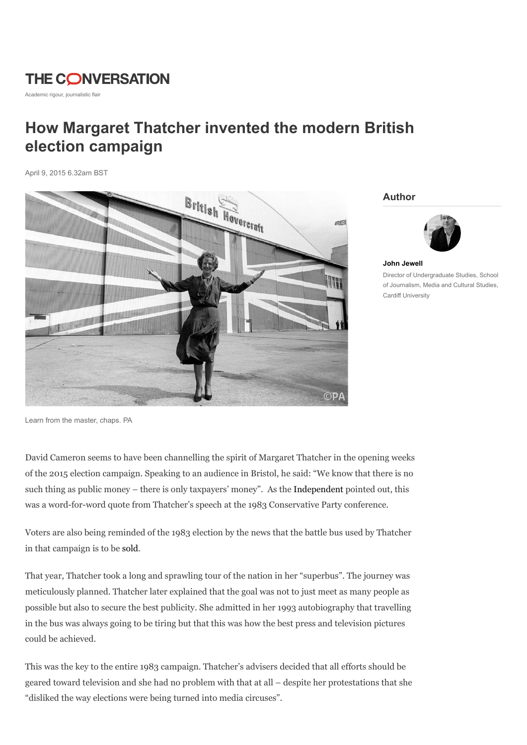# **THE CONVERSATION**

Academic rigour, journalistic flair

## How Margaret Thatcher invented the modern British election campaign

April 9, 2015 6.32am BST



Author



John Jewell Director of Undergraduate Studies, School of Journalism, Media and Cultural Studies, Cardiff University

Learn from the master, chaps. PA

David Cameron seems to have been channelling the spirit of Margaret Thatcher in the opening weeks of the 2015 election campaign. Speaking to an audience in Bristol, he said: "We know that there is no such thing as public money – there is only taxpayers' money". As the Independent pointed out, this was a word-for-word quote from Thatcher's speech at the 1983 Conservative Party conference.

Voters are also being reminded of the 1983 election by the news that the battle bus used by Thatcher in that campaign is to be sold.

That year, Thatcher took a long and sprawling tour of the nation in her "superbus". The journey was meticulously planned. Thatcher later explained that the goal was not to just meet as many people as possible but also to secure the best publicity. She admitted in her 1993 autobiography that travelling in the bus was always going to be tiring but that this was how the best press and television pictures could be achieved.

This was the key to the entire 1983 campaign. Thatcher's advisers decided that all efforts should be geared toward television and she had no problem with that at all – despite her protestations that she "disliked the way elections were being turned into media circuses".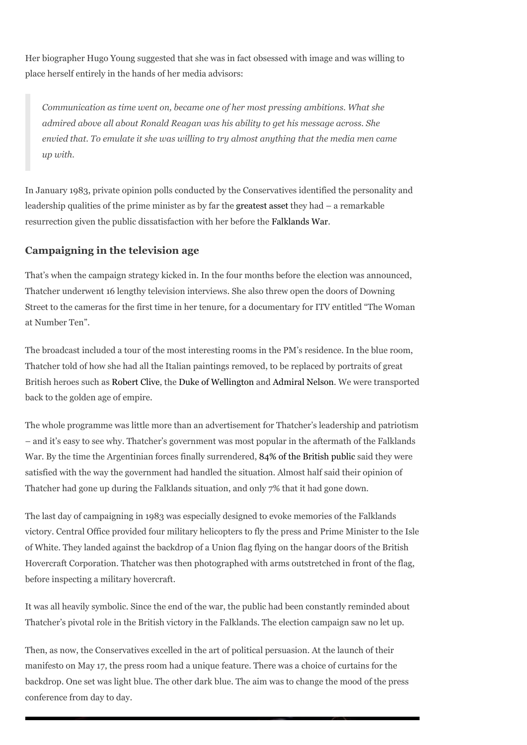Her biographer Hugo Young suggested that she was in fact obsessed with image and was willing to place herself entirely in the hands of her media advisors:

Communication as time went on, became one of her most pressing ambitions. What she admired above all about Ronald Reagan was his ability to get his message across. She envied that. To emulate it she was willing to try almost anything that the media men came up with.

In January 1983, private opinion polls conducted by the Conservatives identified the personality and leadership qualities of the prime minister as by far the greatest asset they had – a remarkable resurrection given the public dissatisfaction with her before the Falklands War.

### Campaigning in the television age

That's when the campaign strategy kicked in. In the four months before the election was announced, Thatcher underwent 16 lengthy television interviews. She also threw open the doors of Downing Street to the cameras for the first time in her tenure, for a documentary for ITV entitled "The Woman at Number Ten".

The broadcast included a tour of the most interesting rooms in the PM's residence. In the blue room, Thatcher told of how she had all the Italian paintings removed, to be replaced by portraits of great British heroes such as Robert Clive, the Duke of Wellington and Admiral Nelson. We were transported back to the golden age of empire.

The whole programme was little more than an advertisement for Thatcher's leadership and patriotism – and it's easy to see why. Thatcher's government was most popular in the aftermath of the Falklands War. By the time the Argentinian forces finally surrendered, 84% of the British public said they were satisfied with the way the government had handled the situation. Almost half said their opinion of Thatcher had gone up during the Falklands situation, and only 7% that it had gone down.

The last day of campaigning in 1983 was especially designed to evoke memories of the Falklands victory. Central Office provided four military helicopters to fly the press and Prime Minister to the Isle of White. They landed against the backdrop of a Union flag flying on the hangar doors of the British Hovercraft Corporation. Thatcher was then photographed with arms outstretched in front of the flag, before inspecting a military hovercraft.

It was all heavily symbolic. Since the end of the war, the public had been constantly reminded about Thatcher's pivotal role in the British victory in the Falklands. The election campaign saw no let up.

Then, as now, the Conservatives excelled in the art of political persuasion. At the launch of their manifesto on May 17, the press room had a unique feature. There was a choice of curtains for the backdrop. One set was light blue. The other dark blue. The aim was to change the mood of the press conference from day to day.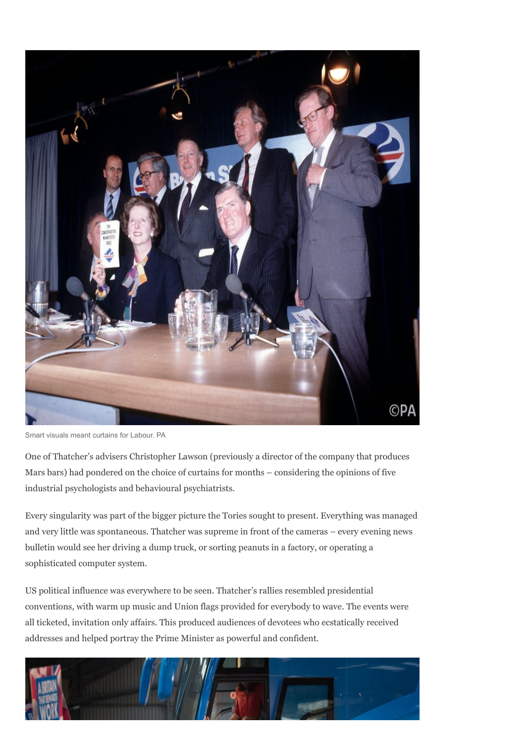

Smart visuals meant curtains for Labour. PA

One of Thatcher's advisers Christopher Lawson (previously a director of the company that produces Mars bars) had pondered on the choice of curtains for months – considering the opinions of five industrial psychologists and behavioural psychiatrists.

Every singularity was part of the bigger picture the Tories sought to present. Everything was managed and very little was spontaneous. Thatcher was supreme in front of the cameras – every evening news bulletin would see her driving a dump truck, or sorting peanuts in a factory, or operating a sophisticated computer system.

US political influence was everywhere to be seen. Thatcher's rallies resembled presidential conventions, with warm up music and Union flags provided for everybody to wave. The events were all ticketed, invitation only affairs. This produced audiences of devotees who ecstatically received addresses and helped portray the Prime Minister as powerful and confident.

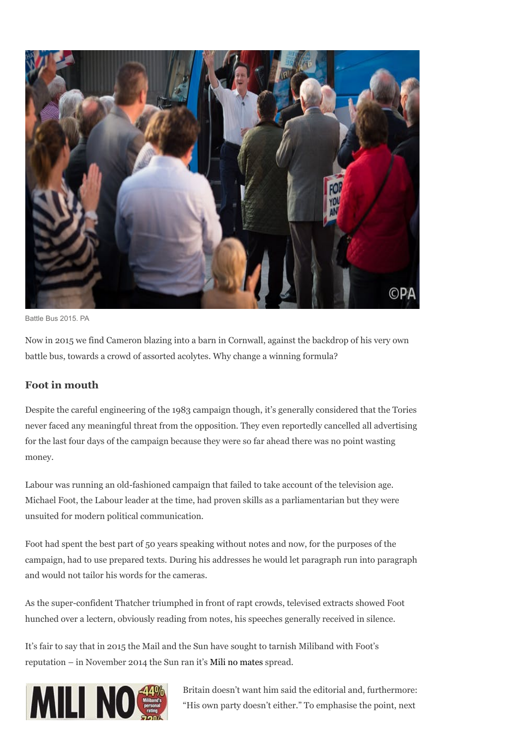

Battle Bus 2015. PA

Now in 2015 we find Cameron blazing into a barn in Cornwall, against the backdrop of his very own battle bus, towards a crowd of assorted acolytes. Why change a winning formula?

#### Foot in mouth

Despite the careful engineering of the 1983 campaign though, it's generally considered that the Tories never faced any meaningful threat from the opposition. They even reportedly cancelled all advertising for the last four days of the campaign because they were so far ahead there was no point wasting money.

Labour was running an old-fashioned campaign that failed to take account of the television age. Michael Foot, the Labour leader at the time, had proven skills as a parliamentarian but they were unsuited for modern political communication.

Foot had spent the best part of 50 years speaking without notes and now, for the purposes of the campaign, had to use prepared texts. During his addresses he would let paragraph run into paragraph and would not tailor his words for the cameras.

As the super-confident Thatcher triumphed in front of rapt crowds, televised extracts showed Foot hunched over a lectern, obviously reading from notes, his speeches generally received in silence.

It's fair to say that in 2015 the Mail and the Sun have sought to tarnish Miliband with Foot's reputation – in November 2014 the Sun ran it's Mili no mates spread.



Britain doesn't want him said the editorial and, furthermore: "His own party doesn't either." To emphasise the point, next